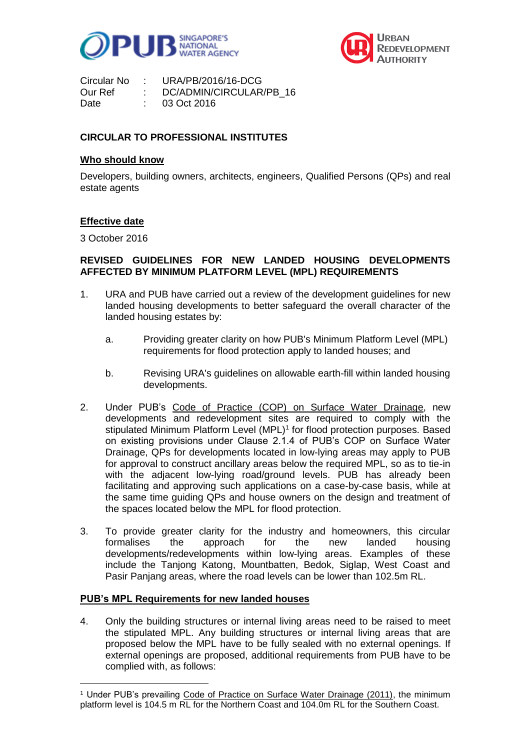



| Circular No | URA/PB/2016/16-DCG      |
|-------------|-------------------------|
| Our Ref     | DC/ADMIN/CIRCULAR/PB 16 |
| Date        | 03 Oct 2016             |

## **CIRCULAR TO PROFESSIONAL INSTITUTES**

#### **Who should know**

Developers, building owners, architects, engineers, Qualified Persons (QPs) and real estate agents

#### **Effective date**

3 October 2016

 $\overline{a}$ 

# **REVISED GUIDELINES FOR NEW LANDED HOUSING DEVELOPMENTS AFFECTED BY MINIMUM PLATFORM LEVEL (MPL) REQUIREMENTS**

- 1. URA and PUB have carried out a review of the development guidelines for new landed housing developments to better safeguard the overall character of the landed housing estates by:
	- a. Providing greater clarity on how PUB's Minimum Platform Level (MPL) requirements for flood protection apply to landed houses; and
	- b. Revising URA's guidelines on allowable earth-fill within landed housing developments.
- 2. Under PUB's [Code of Practice \(COP\) on Surface Water Drainage,](https://www.pub.gov.sg/Documents/COP_Final.pdf) new developments and redevelopment sites are required to comply with the stipulated Minimum Platform Level (MPL)<sup>1</sup> for flood protection purposes. Based on existing provisions under Clause 2.1.4 of PUB's COP on Surface Water Drainage, QPs for developments located in low-lying areas may apply to PUB for approval to construct ancillary areas below the required MPL, so as to tie-in with the adjacent low-lying road/ground levels. PUB has already been facilitating and approving such applications on a case-by-case basis, while at the same time guiding QPs and house owners on the design and treatment of the spaces located below the MPL for flood protection.
- 3. To provide greater clarity for the industry and homeowners, this circular formalises the approach for the new landed housing developments/redevelopments within low-lying areas. Examples of these include the Tanjong Katong, Mountbatten, Bedok, Siglap, West Coast and Pasir Panjang areas, where the road levels can be lower than 102.5m RL.

## **PUB's MPL Requirements for new landed houses**

4. Only the building structures or internal living areas need to be raised to meet the stipulated MPL. Any building structures or internal living areas that are proposed below the MPL have to be fully sealed with no external openings. If external openings are proposed, additional requirements from PUB have to be complied with, as follows:

<sup>1</sup> Under PUB's prevailing [Code of Practice on Surface Water Drainage \(2011\),](https://www.pub.gov.sg/Documents/COP_Final.pdf) the minimum platform level is 104.5 m RL for the Northern Coast and 104.0m RL for the Southern Coast.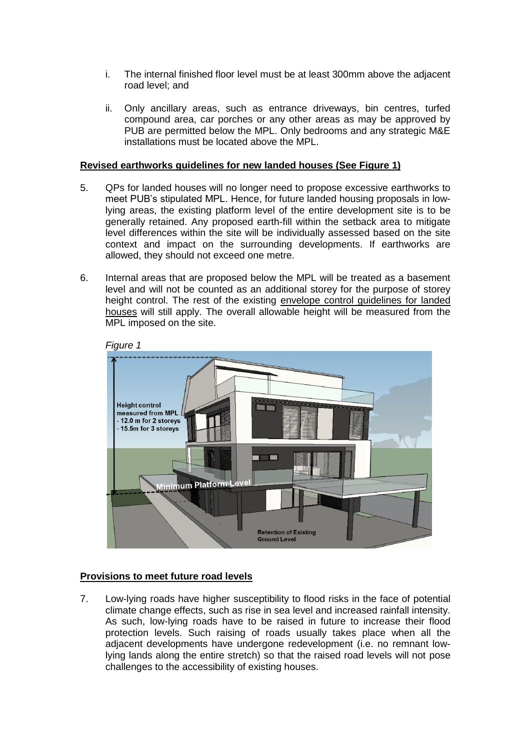- i. The internal finished floor level must be at least 300mm above the adjacent road level; and
- ii. Only ancillary areas, such as entrance driveways, bin centres, turfed compound area, car porches or any other areas as may be approved by PUB are permitted below the MPL. Only bedrooms and any strategic M&E installations must be located above the MPL.

## **Revised earthworks guidelines for new landed houses (See Figure 1)**

- 5. QPs for landed houses will no longer need to propose excessive earthworks to meet PUB's stipulated MPL. Hence, for future landed housing proposals in lowlying areas, the existing platform level of the entire development site is to be generally retained. Any proposed earth-fill within the setback area to mitigate level differences within the site will be individually assessed based on the site context and impact on the surrounding developments. If earthworks are allowed, they should not exceed one metre.
- 6. Internal areas that are proposed below the MPL will be treated as a basement level and will not be counted as an additional storey for the purpose of storey height control. The rest of the existing [envelope control guidelines for landed](https://www.ura.gov.sg/Corporate/Guidelines/Circulars/dc15-02)  [houses](https://www.ura.gov.sg/Corporate/Guidelines/Circulars/dc15-02) will still apply. The overall allowable height will be measured from the MPL imposed on the site.



# **Provisions to meet future road levels**

7. Low-lying roads have higher susceptibility to flood risks in the face of potential climate change effects, such as rise in sea level and increased rainfall intensity. As such, low-lying roads have to be raised in future to increase their flood protection levels. Such raising of roads usually takes place when all the adjacent developments have undergone redevelopment (i.e. no remnant lowlying lands along the entire stretch) so that the raised road levels will not pose challenges to the accessibility of existing houses.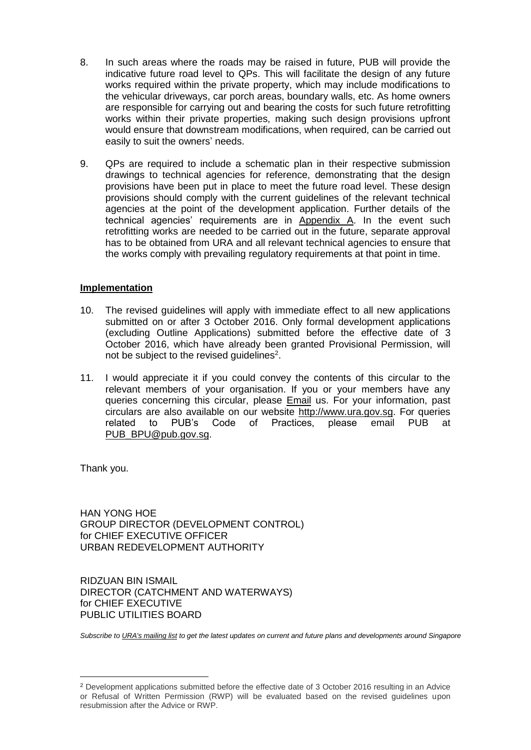- 8. In such areas where the roads may be raised in future, PUB will provide the indicative future road level to QPs. This will facilitate the design of any future works required within the private property, which may include modifications to the vehicular driveways, car porch areas, boundary walls, etc. As home owners are responsible for carrying out and bearing the costs for such future retrofitting works within their private properties, making such design provisions upfront would ensure that downstream modifications, when required, can be carried out easily to suit the owners' needs.
- 9. QPs are required to include a schematic plan in their respective submission drawings to technical agencies for reference, demonstrating that the design provisions have been put in place to meet the future road level. These design provisions should comply with the current guidelines of the relevant technical agencies at the point of the development application. Further details of the technical agencies' requirements are in [Appendix A.](#page-2-0) In the event such retrofitting works are needed to be carried out in the future, separate approval has to be obtained from URA and all relevant technical agencies to ensure that the works comply with prevailing regulatory requirements at that point in time.

#### **Implementation**

- 10. The revised guidelines will apply with immediate effect to all new applications submitted on or after 3 October 2016. Only formal development applications (excluding Outline Applications) submitted before the effective date of 3 October 2016, which have already been granted Provisional Permission, will not be subject to the revised guidelines<sup>2</sup>.
- 11. I would appreciate it if you could convey the contents of this circular to the relevant members of your organisation. If you or your members have any queries concerning this circular, please **[Email](https://www.ura.gov.sg/feedbackWeb/contactus_feedback.jsp) us. For your information**, past circulars are also available on our website [http://www.ura.gov.sg.](http://www.ura.gov.sg/) For queries related to PUB's Code of Practices, please email PUB at [PUB\\_BPU@pub.gov.sg.](mailto:PUB_BPU@pub.gov.sg)

Thank you.

-

HAN YONG HOE GROUP DIRECTOR (DEVELOPMENT CONTROL) for CHIEF EXECUTIVE OFFICER URBAN REDEVELOPMENT AUTHORITY

RIDZUAN BIN ISMAIL DIRECTOR (CATCHMENT AND WATERWAYS) for CHIEF EXECUTIVE PUBLIC UTILITIES BOARD

<span id="page-2-0"></span>*Subscribe t[o URA's mailing list](https://www.ura.gov.sg/Corporate/Subscription) to get the latest updates on current and future plans and developments around Singapore*

<sup>2</sup> Development applications submitted before the effective date of 3 October 2016 resulting in an Advice or Refusal of Written Permission (RWP) will be evaluated based on the revised guidelines upon resubmission after the Advice or RWP.